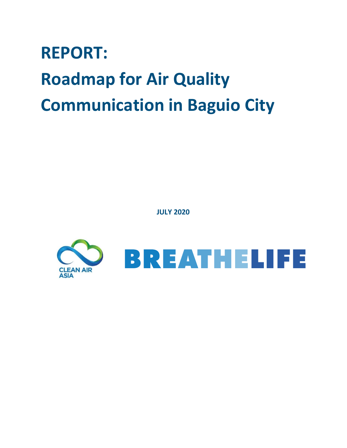# **REPORT: Roadmap for Air Quality Communication in Baguio City**

**JULY 2020**

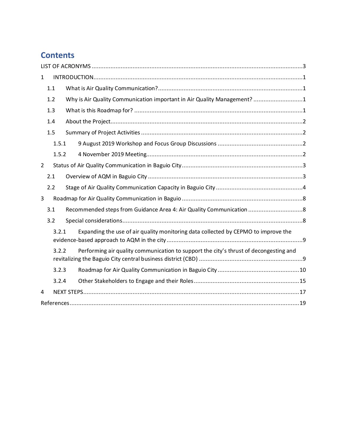# **Contents**

| $\mathbf{1}$   |       |                                                                                       |  |
|----------------|-------|---------------------------------------------------------------------------------------|--|
|                | 1.1   |                                                                                       |  |
|                | 1.2   | Why is Air Quality Communication important in Air Quality Management? 1               |  |
|                | 1.3   |                                                                                       |  |
|                | 1.4   |                                                                                       |  |
|                | 1.5   |                                                                                       |  |
|                | 1.5.1 |                                                                                       |  |
|                | 1.5.2 |                                                                                       |  |
| $\overline{2}$ |       |                                                                                       |  |
|                | 2.1   |                                                                                       |  |
|                | 2.2   |                                                                                       |  |
| 3              |       |                                                                                       |  |
|                | 3.1   |                                                                                       |  |
|                | 3.2   |                                                                                       |  |
|                | 3.2.1 | Expanding the use of air quality monitoring data collected by CEPMO to improve the    |  |
|                | 3.2.2 | Performing air quality communication to support the city's thrust of decongesting and |  |
|                | 3.2.3 |                                                                                       |  |
|                | 3.2.4 |                                                                                       |  |
| 4              |       |                                                                                       |  |
|                |       |                                                                                       |  |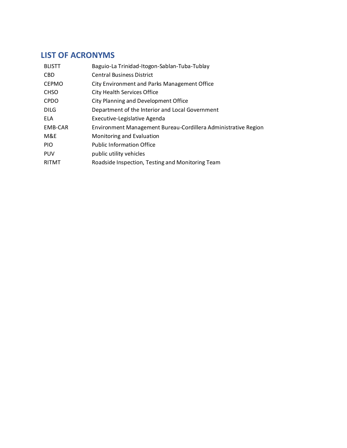# <span id="page-2-0"></span>**LIST OF ACRONYMS**

| <b>BLISTT</b> | Baguio-La Trinidad-Itogon-Sablan-Tuba-Tublay                   |
|---------------|----------------------------------------------------------------|
| <b>CBD</b>    | <b>Central Business District</b>                               |
| <b>CEPMO</b>  | City Environment and Parks Management Office                   |
| <b>CHSO</b>   | <b>City Health Services Office</b>                             |
| <b>CPDO</b>   | City Planning and Development Office                           |
| <b>DILG</b>   | Department of the Interior and Local Government                |
| ELA           | Executive-Legislative Agenda                                   |
| EMB-CAR       | Environment Management Bureau-Cordillera Administrative Region |
| M&E           | Monitoring and Evaluation                                      |
| <b>PIO</b>    | <b>Public Information Office</b>                               |
| <b>PUV</b>    | public utility vehicles                                        |
| <b>RITMT</b>  | Roadside Inspection, Testing and Monitoring Team               |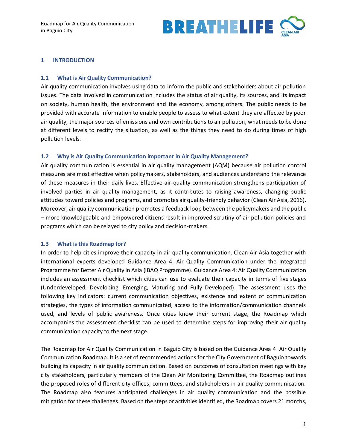

#### <span id="page-3-0"></span>**1 INTRODUCTION**

#### <span id="page-3-1"></span>**1.1 What is Air Quality Communication?**

Air quality communication involves using data to inform the public and stakeholders about air pollution issues. The data involved in communication includes the status of air quality, its sources, and its impact on society, human health, the environment and the economy, among others. The public needs to be provided with accurate information to enable people to assess to what extent they are affected by poor air quality, the major sources of emissions and own contributions to air pollution, what needs to be done at different levels to rectify the situation, as well as the things they need to do during times of high pollution levels.

#### <span id="page-3-2"></span>**1.2 Why is Air Quality Communication important in Air Quality Management?**

Air quality communication is essential in air quality management (AQM) because air pollution control measures are most effective when policymakers, stakeholders, and audiences understand the relevance of these measures in their daily lives. Effective air quality communication strengthens participation of involved parties in air quality management, as it contributes to raising awareness, changing public attitudes toward policies and programs, and promotes air quality-friendly behavior (Clean Air Asia, 2016). Moreover, air quality communication promotes a feedback loop between the policymakers and the public – more knowledgeable and empowered citizens result in improved scrutiny of air pollution policies and programs which can be relayed to city policy and decision-makers.

#### <span id="page-3-3"></span>**1.3 What is this Roadmap for?**

In order to help cities improve their capacity in air quality communication, Clean Air Asia together with international experts developed Guidance Area 4: Air Quality Communication under the Integrated Programme for Better Air Quality in Asia (IBAQ Programme). Guidance Area 4: Air Quality Communication includes an assessment checklist which cities can use to evaluate their capacity in terms of five stages (Underdeveloped, Developing, Emerging, Maturing and Fully Developed). The assessment uses the following key indicators: current communication objectives, existence and extent of communication strategies, the types of information communicated, access to the information/communication channels used, and levels of public awareness. Once cities know their current stage, the Roadmap which accompanies the assessment checklist can be used to determine steps for improving their air quality communication capacity to the next stage.

The Roadmap for Air Quality Communication in Baguio City is based on the Guidance Area 4: Air Quality Communication Roadmap. It is a set of recommended actions for the City Government of Baguio towards building its capacity in air quality communication. Based on outcomes of consultation meetings with key city stakeholders, particularly members of the Clean Air Monitoring Committee, the Roadmap outlines the proposed roles of different city offices, committees, and stakeholders in air quality communication. The Roadmap also features anticipated challenges in air quality communication and the possible mitigation for these challenges. Based on the steps or activities identified, the Roadmap covers 21 months,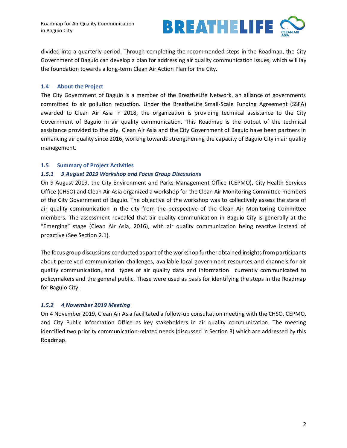

divided into a quarterly period. Through completing the recommended steps in the Roadmap, the City Government of Baguio can develop a plan for addressing air quality communication issues, which will lay the foundation towards a long-term Clean Air Action Plan for the City.

#### <span id="page-4-0"></span>**1.4 About the Project**

The City Government of Baguio is a member of the BreatheLife Network, an alliance of governments committed to air pollution reduction. Under the BreatheLife Small-Scale Funding Agreement (SSFA) awarded to Clean Air Asia in 2018, the organization is providing technical assistance to the City Government of Baguio in air quality communication. This Roadmap is the output of the technical assistance provided to the city. Clean Air Asia and the City Government of Baguio have been partners in enhancing air quality since 2016, working towards strengthening the capacity of Baguio City in air quality management.

#### <span id="page-4-1"></span>**1.5 Summary of Project Activities**

#### <span id="page-4-2"></span>*1.5.1 9 August 2019 Workshop and Focus Group Discussions*

On 9 August 2019, the City Environment and Parks Management Office (CEPMO), City Health Services Office (CHSO) and Clean Air Asia organized a workshop for the Clean Air Monitoring Committee members of the City Government of Baguio. The objective of the workshop was to collectively assess the state of air quality communication in the city from the perspective of the Clean Air Monitoring Committee members. The assessment revealed that air quality communication in Baguio City is generally at the "Emerging" stage (Clean Air Asia, 2016), with air quality communication being reactive instead of proactive (See Section [2.1\)](#page-5-1).

The focus group discussions conducted as part of the workshop further obtained insights from participants about perceived communication challenges, available local government resources and channels for air quality communication, and types of air quality data and information currently communicated to policymakers and the general public. These were used as basis for identifying the steps in the Roadmap for Baguio City.

#### <span id="page-4-3"></span>*1.5.2 4 November 2019 Meeting*

On 4 November 2019, Clean Air Asia facilitated a follow-up consultation meeting with the CHSO, CEPMO, and City Public Information Office as key stakeholders in air quality communication. The meeting identified two priority communication-related needs (discussed in Section 3) which are addressed by this Roadmap.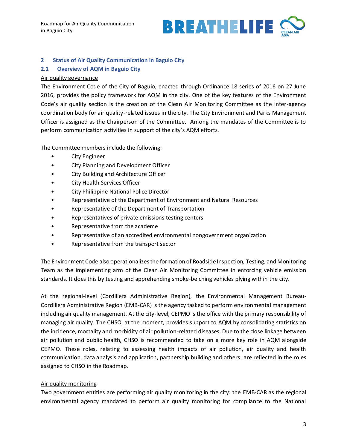

#### <span id="page-5-0"></span>**2 Status of Air Quality Communication in Baguio City**

#### <span id="page-5-1"></span>**2.1 Overview of AQM in Baguio City**

#### Air quality governance

The Environment Code of the City of Baguio, enacted through Ordinance 18 series of 2016 on 27 June 2016, provides the policy framework for AQM in the city. One of the key features of the Environment Code's air quality section is the creation of the Clean Air Monitoring Committee as the inter-agency coordination body for air quality-related issues in the city. The City Environment and Parks Management Officer is assigned as the Chairperson of the Committee. Among the mandates of the Committee is to perform communication activities in support of the city's AQM efforts.

The Committee members include the following:

- City Engineer
- City Planning and Development Officer
- City Building and Architecture Officer
- City Health Services Officer
- City Philippine National Police Director
- Representative of the Department of Environment and Natural Resources
- Representative of the Department of Transportation
- Representatives of private emissions testing centers
- Representative from the academe
- Representative of an accredited environmental nongovernment organization
- Representative from the transport sector

The Environment Code also operationalizes the formation of Roadside Inspection, Testing, and Monitoring Team as the implementing arm of the Clean Air Monitoring Committee in enforcing vehicle emission standards. It does this by testing and apprehending smoke-belching vehicles plying within the city.

At the regional-level (Cordillera Administrative Region), the Environmental Management Bureau-Cordillera Administrative Region (EMB-CAR) is the agency tasked to perform environmental management including air quality management. At the city-level, CEPMO is the office with the primary responsibility of managing air quality. The CHSO, at the moment, provides support to AQM by consolidating statistics on the incidence, mortality and morbidity of air pollution-related diseases. Due to the close linkage between air pollution and public health, CHSO is recommended to take on a more key role in AQM alongside CEPMO. These roles, relating to assessing health impacts of air pollution, air quality and health communication, data analysis and application, partnership building and others, are reflected in the roles assigned to CHSO in the Roadmap.

#### Air quality monitoring

Two government entities are performing air quality monitoring in the city: the EMB-CAR as the regional environmental agency mandated to perform air quality monitoring for compliance to the National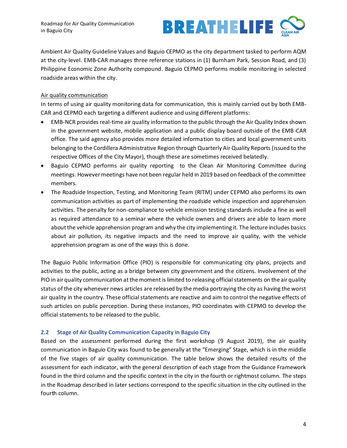

Ambient Air Quality Guideline Values and Baguio CEPMO as the city department tasked to perform AQM at the city-level. EMB-CAR manages three reference stations in (1) Burnham Park, Session Road, and (3) Philippine Economic Zone Authority compound. Baguio CEPMO performs mobile monitoring in selected roadside areas within the city.

# Air quality communication

In terms of using air quality monitoring data for communication, this is mainly carried out by both EMB-CAR and CEPMO each targeting a different audience and using different platforms:

- EMB-NCR provides real-time air quality information to the public through the Air Quality Index shown in the government website, mobile application and a public display board outside of the EMB-CAR office. The said agency also provides more detailed information to cities and local government units belonging to the Cordillera Administrative Region through Quarterly Air Quality Reports (issued to the respective Offices of the City Mayor), though these are sometimes received belatedly.
- Baguio CEPMO performs air quality reporting to the Clean Air Monitoring Committee during meetings. However meetings have not been regular held in 2019 based on feedback of the committee members.
- The Roadside Inspection, Testing, and Monitoring Team (RITM) under CEPMO also performs its own communication activities as part of implementing the roadside vehicle inspection and apprehension activities. The penalty for non-compliance to vehicle emission testing standards include a fine as well as required attendance to a seminar where the vehicle owners and drivers are able to learn more about the vehicle apprehension program and why the city implementing it. The lecture includes basics about air pollution, its negative impacts and the need to improve air quality, with the vehicle apprehension program as one of the ways this is done.

The Baguio Public Information Office (PIO) is responsible for communicating city plans, projects and activities to the public, acting as a bridge between city government and the citizens. Involvement of the PIO in air quality communication at the moment is limited to releasing official statements on the air quality status of the city whenever news articles are released by the media portraying the city as having the worst air quality in the country. These official statements are reactive and aim to control the negative effects of such articles on public perception. During these instances, PIO coordinates with CEPMO to develop the official statements to be released to the public.

# <span id="page-6-0"></span>**2.2 Stage of Air Quality Communication Capacity in Baguio City**

Based on the assessment performed during the first workshop (9 August 2019), the air quality communication in Baguio City was found to be generally at the "Emerging" Stage, which is in the middle of the five stages of air quality communication. The table below shows the detailed results of the assessment for each indicator, with the general description of each stage from the Guidance Framework found in the third column and the specific context in the city in the fourth or rightmost column. The steps in the Roadmap described in later sections correspond to the specific situation in the city outlined in the fourth column.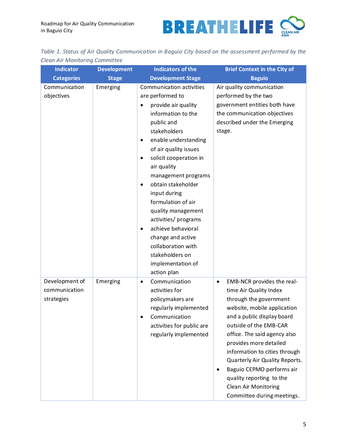

|                                |  | Table 1. Status of Air Quality Communication in Baguio City based on the assessment performed by the |  |  |  |  |  |
|--------------------------------|--|------------------------------------------------------------------------------------------------------|--|--|--|--|--|
| Clean Air Monitoring Committee |  |                                                                                                      |  |  |  |  |  |

| <b>Indicator</b>                              | <b>Development</b> | <b>Indicators of the</b>                                                                                                                                                                                                                                                                                                                                                                                                                                                                                                            | <b>Brief Context in the City of</b>                                                                                                                                                                                                                                                                                                                                                                                            |
|-----------------------------------------------|--------------------|-------------------------------------------------------------------------------------------------------------------------------------------------------------------------------------------------------------------------------------------------------------------------------------------------------------------------------------------------------------------------------------------------------------------------------------------------------------------------------------------------------------------------------------|--------------------------------------------------------------------------------------------------------------------------------------------------------------------------------------------------------------------------------------------------------------------------------------------------------------------------------------------------------------------------------------------------------------------------------|
| <b>Categories</b>                             | <b>Stage</b>       | <b>Development Stage</b>                                                                                                                                                                                                                                                                                                                                                                                                                                                                                                            | <b>Baguio</b>                                                                                                                                                                                                                                                                                                                                                                                                                  |
| Communication<br>objectives                   | Emerging           | Communication activities<br>are performed to<br>provide air quality<br>٠<br>information to the<br>public and<br>stakeholders<br>enable understanding<br>$\bullet$<br>of air quality issues<br>solicit cooperation in<br>$\bullet$<br>air quality<br>management programs<br>obtain stakeholder<br>$\bullet$<br>input during<br>formulation of air<br>quality management<br>activities/ programs<br>achieve behavioral<br>$\bullet$<br>change and active<br>collaboration with<br>stakeholders on<br>implementation of<br>action plan | Air quality communication<br>performed by the two<br>government entities both have<br>the communication objectives<br>described under the Emerging<br>stage.                                                                                                                                                                                                                                                                   |
| Development of<br>communication<br>strategies | Emerging           | Communication<br>$\bullet$<br>activities for<br>policymakers are<br>regularly implemented<br>Communication<br>activities for public are<br>regularly implemented                                                                                                                                                                                                                                                                                                                                                                    | EMB-NCR provides the real-<br>$\bullet$<br>time Air Quality Index<br>through the government<br>website, mobile application<br>and a public display board<br>outside of the EMB-CAR<br>office. The said agency also<br>provides more detailed<br>information to cities through<br>Quarterly Air Quality Reports.<br>Baguio CEPMO performs air<br>quality reporting to the<br>Clean Air Monitoring<br>Committee during meetings. |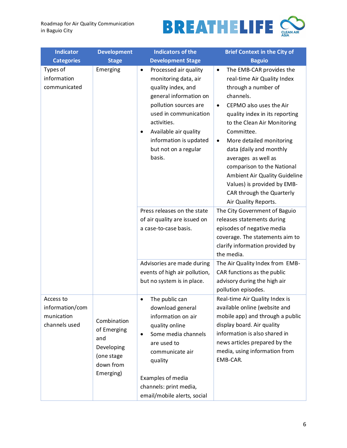

| <b>Indicator</b>                                            | <b>Development</b>                                                                      | <b>Indicators of the</b>                                                                                                                                                                                                                                                      | <b>Brief Context in the City of</b>                                                                                                                                                                                                                                                                                                                                                                                                                                           |
|-------------------------------------------------------------|-----------------------------------------------------------------------------------------|-------------------------------------------------------------------------------------------------------------------------------------------------------------------------------------------------------------------------------------------------------------------------------|-------------------------------------------------------------------------------------------------------------------------------------------------------------------------------------------------------------------------------------------------------------------------------------------------------------------------------------------------------------------------------------------------------------------------------------------------------------------------------|
| <b>Categories</b>                                           | <b>Stage</b>                                                                            | <b>Development Stage</b>                                                                                                                                                                                                                                                      | <b>Baguio</b>                                                                                                                                                                                                                                                                                                                                                                                                                                                                 |
| Types of<br>information<br>communicated                     | Emerging                                                                                | Processed air quality<br>$\bullet$<br>monitoring data, air<br>quality index, and<br>general information on<br>pollution sources are<br>used in communication<br>activities.<br>Available air quality<br>$\bullet$<br>information is updated<br>but not on a regular<br>basis. | The EMB-CAR provides the<br>$\bullet$<br>real-time Air Quality Index<br>through a number of<br>channels.<br>CEPMO also uses the Air<br>$\bullet$<br>quality index in its reporting<br>to the Clean Air Monitoring<br>Committee.<br>More detailed monitoring<br>$\bullet$<br>data (daily and monthly<br>averages as well as<br>comparison to the National<br>Ambient Air Quality Guideline<br>Values) is provided by EMB-<br>CAR through the Quarterly<br>Air Quality Reports. |
|                                                             |                                                                                         | Press releases on the state<br>of air quality are issued on<br>a case-to-case basis.                                                                                                                                                                                          | The City Government of Baguio<br>releases statements during<br>episodes of negative media<br>coverage. The statements aim to<br>clarify information provided by<br>the media.                                                                                                                                                                                                                                                                                                 |
|                                                             |                                                                                         | Advisories are made during<br>events of high air pollution,<br>but no system is in place.                                                                                                                                                                                     | The Air Quality Index from EMB-<br>CAR functions as the public<br>advisory during the high air<br>pollution episodes.                                                                                                                                                                                                                                                                                                                                                         |
| Access to<br>information/com<br>munication<br>channels used | Combination<br>of Emerging<br>and<br>Developing<br>(one stage<br>down from<br>Emerging) | The public can<br>$\bullet$<br>download general<br>information on air<br>quality online<br>Some media channels<br>$\bullet$<br>are used to<br>communicate air<br>quality<br>Examples of media<br>channels: print media,<br>email/mobile alerts, social                        | Real-time Air Quality Index is<br>available online (website and<br>mobile app) and through a public<br>display board. Air quality<br>information is also shared in<br>news articles prepared by the<br>media, using information from<br>EMB-CAR.                                                                                                                                                                                                                              |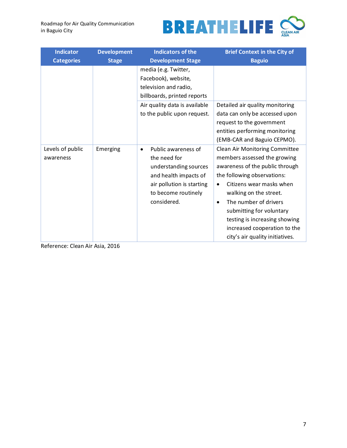

| <b>Indicator</b>              | <b>Development</b> | <b>Indicators of the</b>                                                                                                                                              | <b>Brief Context in the City of</b>                                                                                                                                                                                                                                                                                                                                       |
|-------------------------------|--------------------|-----------------------------------------------------------------------------------------------------------------------------------------------------------------------|---------------------------------------------------------------------------------------------------------------------------------------------------------------------------------------------------------------------------------------------------------------------------------------------------------------------------------------------------------------------------|
| <b>Categories</b>             | <b>Stage</b>       | <b>Development Stage</b>                                                                                                                                              | <b>Baguio</b>                                                                                                                                                                                                                                                                                                                                                             |
|                               |                    | media (e.g. Twitter,<br>Facebook), website,<br>television and radio,<br>billboards, printed reports                                                                   |                                                                                                                                                                                                                                                                                                                                                                           |
|                               |                    | Air quality data is available<br>to the public upon request.                                                                                                          | Detailed air quality monitoring<br>data can only be accessed upon<br>request to the government<br>entities performing monitoring<br>(EMB-CAR and Baguio CEPMO).                                                                                                                                                                                                           |
| Levels of public<br>awareness | Emerging           | Public awareness of<br>$\bullet$<br>the need for<br>understanding sources<br>and health impacts of<br>air pollution is starting<br>to become routinely<br>considered. | Clean Air Monitoring Committee<br>members assessed the growing<br>awareness of the public through<br>the following observations:<br>Citizens wear masks when<br>$\bullet$<br>walking on the street.<br>The number of drivers<br>$\bullet$<br>submitting for voluntary<br>testing is increasing showing<br>increased cooperation to the<br>city's air quality initiatives. |

Reference: Clean Air Asia, 2016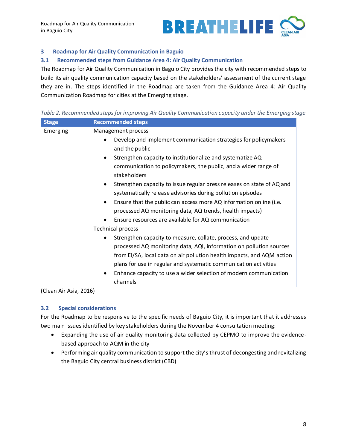

# <span id="page-10-0"></span>**3 Roadmap for Air Quality Communication in Baguio**

#### <span id="page-10-1"></span>**3.1 Recommended steps from Guidance Area 4: Air Quality Communication**

The Roadmap for Air Quality Communication in Baguio City provides the city with recommended steps to build its air quality communication capacity based on the stakeholders' assessment of the current stage they are in. The steps identified in the Roadmap are taken from the Guidance Area 4: Air Quality Communication Roadmap for cities at the Emerging stage.

| Table 2. Recommended steps for improving Air Quality Communication capacity under the Emerging stage |  |  |  |
|------------------------------------------------------------------------------------------------------|--|--|--|
|------------------------------------------------------------------------------------------------------|--|--|--|

| <b>Stage</b> | <b>Recommended steps</b>                                                                                                                                                                                                                                                                                                                                                                                                                                                                                                                                                                                                                                                                                                                                                                                                                                                                                                                                                                                                            |
|--------------|-------------------------------------------------------------------------------------------------------------------------------------------------------------------------------------------------------------------------------------------------------------------------------------------------------------------------------------------------------------------------------------------------------------------------------------------------------------------------------------------------------------------------------------------------------------------------------------------------------------------------------------------------------------------------------------------------------------------------------------------------------------------------------------------------------------------------------------------------------------------------------------------------------------------------------------------------------------------------------------------------------------------------------------|
| Emerging     | Management process<br>Develop and implement communication strategies for policymakers<br>and the public<br>Strengthen capacity to institutionalize and systematize AQ<br>$\bullet$<br>communication to policymakers, the public, and a wider range of<br>stakeholders<br>Strengthen capacity to issue regular press releases on state of AQ and<br>systematically release advisories during pollution episodes<br>Ensure that the public can access more AQ information online (i.e.<br>processed AQ monitoring data, AQ trends, health impacts)<br>Ensure resources are available for AQ communication<br><b>Technical process</b><br>Strengthen capacity to measure, collate, process, and update<br>$\bullet$<br>processed AQ monitoring data, AQI, information on pollution sources<br>from EI/SA, local data on air pollution health impacts, and AQM action<br>plans for use in regular and systematic communication activities<br>Enhance capacity to use a wider selection of modern communication<br>$\bullet$<br>channels |

(Clean Air Asia, 2016)

#### <span id="page-10-2"></span>**3.2 Special considerations**

For the Roadmap to be responsive to the specific needs of Baguio City, it is important that it addresses two main issues identified by key stakeholders during the November 4 consultation meeting:

- Expanding the use of air quality monitoring data collected by CEPMO to improve the evidencebased approach to AQM in the city
- Performing air quality communication to support the city's thrust of decongesting and revitalizing the Baguio City central business district (CBD)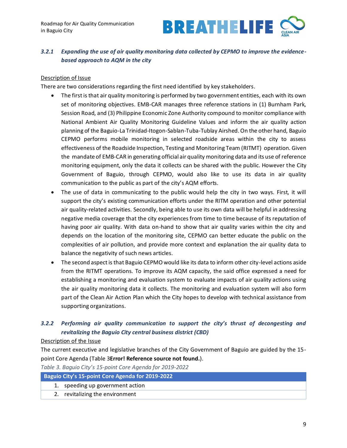

# <span id="page-11-0"></span>*3.2.1 Expanding the use of air quality monitoring data collected by CEPMO to improve the evidencebased approach to AQM in the city*

## Description of Issue

There are two considerations regarding the first need identified by key stakeholders.

- The first is that air quality monitoring is performed by two government entities, each with its own set of monitoring objectives. EMB-CAR manages three reference stations in (1) Burnham Park, Session Road, and (3) Philippine Economic Zone Authority compound to monitor compliance with National Ambient Air Quality Monitoring Guideline Values and inform the air quality action planning of the Baguio-La Trinidad-Itogon-Sablan-Tuba-Tublay Airshed. On the other hand, Baguio CEPMO performs mobile monitoring in selected roadside areas within the city to assess effectiveness of the Roadside Inspection, Testing and Monitoring Team (RITMT) operation. Given the mandate of EMB-CAR in generating official air quality monitoring data and its use of reference monitoring equipment, only the data it collects can be shared with the public. However the City Government of Baguio, through CEPMO, would also like to use its data in air quality communication to the public as part of the city's AQM efforts.
- The use of data in communicating to the public would help the city in two ways. First, it will support the city's existing communication efforts under the RITM operation and other potential air quality-related activities. Secondly, being able to use its own data will be helpful in addressing negative media coverage that the city experiences from time to time because of its reputation of having poor air quality. With data on-hand to show that air quality varies within the city and depends on the location of the monitoring site, CEPMO can better educate the public on the complexities of air pollution, and provide more context and explanation the air quality data to balance the negativity of such news articles.
- The second aspect is that Baguio CEPMO would like its data to inform other city-level actions aside from the RITMT operations. To improve its AQM capacity, the said office expressed a need for establishing a monitoring and evaluation system to evaluate impacts of air quality actions using the air quality monitoring data it collects. The monitoring and evaluation system will also form part of the Clean Air Action Plan which the City hopes to develop with technical assistance from supporting organizations.

# <span id="page-11-1"></span>*3.2.2 Performing air quality communication to support the city's thrust of decongesting and revitalizing the Baguio City central business district (CBD)*

#### Description of the Issue

The current executive and legislative branches of the City Government of Baguio are guided by the 15 point Core Agenda [\(Table 3](#page-11-2)**Error! Reference source not found.**).

<span id="page-11-2"></span>*Table 3. Baguio City's 15-point Core Agenda for 2019-2022*

#### **Baguio City's 15-point Core Agenda for 2019-2022**

- 1. speeding up government action
- 2. revitalizing the environment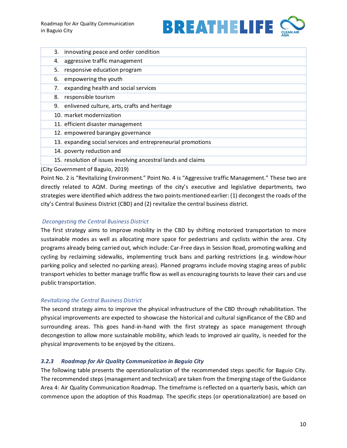

| 3. | innovating peace and order condition                          |
|----|---------------------------------------------------------------|
| 4. | aggressive traffic management                                 |
| 5. | responsive education program                                  |
| 6. | empowering the youth                                          |
| 7. | expanding health and social services                          |
| 8. | responsible tourism                                           |
| 9. | enlivened culture, arts, crafts and heritage                  |
|    | 10. market modernization                                      |
|    | 11. efficient disaster management                             |
|    | 12. empowered barangay governance                             |
|    | 13. expanding social services and entrepreneurial promotions  |
|    | 14. poverty reduction and                                     |
|    | 15. resolution of issues involving ancestral lands and claims |

(City Government of Baguio, 2019)

Point No. 2 is "Revitalizing Environment." Point No. 4 is "Aggressive traffic Management." These two are directly related to AQM. During meetings of the city's executive and legislative departments, two strategies were identified which address the two points mentioned earlier: (1) decongest the roads of the city's Central Business District (CBD) and (2) revitalize the central business district.

# *Decongesting the Central Business District*

The first strategy aims to improve mobility in the CBD by shifting motorized transportation to more sustainable modes as well as allocating more space for pedestrians and cyclists within the area. City programs already being carried out, which include: Car-Free days in Session Road, promoting walking and cycling by reclaiming sidewalks, implementing truck bans and parking restrictions (e.g. window-hour parking policy and selected no-parking areas). Planned programs include moving staging areas of public transport vehicles to better manage traffic flow as well as encouraging tourists to leave their cars and use public transportation.

# *Revitalizing the Central Business District*

The second strategy aims to improve the physical infrastructure of the CBD through rehabilitation. The physical improvements are expected to showcase the historical and cultural significance of the CBD and surrounding areas. This goes hand-in-hand with the first strategy as space management through decongestion to allow more sustainable mobility, which leads to improved air quality, is needed for the physical improvements to be enjoyed by the citizens.

# <span id="page-12-0"></span>*3.2.3 Roadmap for Air Quality Communication in Baguio City*

The following table presents the operationalization of the recommended steps specific for Baguio City. The recommended steps (management and technical) are taken from the Emerging stage of the Guidance Area 4: Air Quality Communication Roadmap. The timeframe is reflected on a quarterly basis, which can commence upon the adoption of this Roadmap. The specific steps (or operationalization) are based on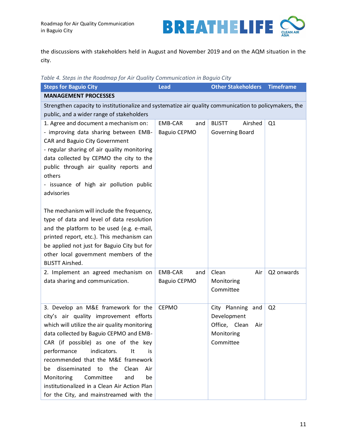

the discussions with stakeholders held in August and November 2019 and on the AQM situation in the city.

*Table 4. Steps in the Roadmap for Air Quality Communication in Baguio City*

| <b>Steps for Baguio City</b>                                                                                                                                                                                                                                                                                                                                                                                                                                                      | <b>Lead</b>                                  | <b>Other Stakeholders</b>                                                           | <b>Timeframe</b> |
|-----------------------------------------------------------------------------------------------------------------------------------------------------------------------------------------------------------------------------------------------------------------------------------------------------------------------------------------------------------------------------------------------------------------------------------------------------------------------------------|----------------------------------------------|-------------------------------------------------------------------------------------|------------------|
| <b>MANAGEMENT PROCESSES</b>                                                                                                                                                                                                                                                                                                                                                                                                                                                       |                                              |                                                                                     |                  |
| Strengthen capacity to institutionalize and systematize air quality communication to policymakers, the                                                                                                                                                                                                                                                                                                                                                                            |                                              |                                                                                     |                  |
| public, and a wider range of stakeholders                                                                                                                                                                                                                                                                                                                                                                                                                                         |                                              |                                                                                     |                  |
| 1. Agree and document a mechanism on:<br>- improving data sharing between EMB-<br>CAR and Baguio City Government<br>- regular sharing of air quality monitoring<br>data collected by CEPMO the city to the<br>public through air quality reports and<br>others<br>- issuance of high air pollution public<br>advisories                                                                                                                                                           | <b>EMB-CAR</b><br>and<br><b>Baguio CEPMO</b> | Airshed<br><b>BLISTT</b><br>Governing Board                                         | Q1               |
| The mechanism will include the frequency,<br>type of data and level of data resolution<br>and the platform to be used (e.g. e-mail,<br>printed report, etc.). This mechanism can<br>be applied not just for Baguio City but for<br>other local government members of the<br><b>BLISTT Airshed.</b>                                                                                                                                                                                |                                              |                                                                                     |                  |
| 2. Implement an agreed mechanism on<br>data sharing and communication.                                                                                                                                                                                                                                                                                                                                                                                                            | <b>EMB-CAR</b><br>and<br><b>Baguio CEPMO</b> | Clean<br>Air<br>Monitoring<br>Committee                                             | Q2 onwards       |
| 3. Develop an M&E framework for the<br>city's air quality improvement efforts<br>which will utilize the air quality monitoring<br>data collected by Baguio CEPMO and EMB-<br>CAR (if possible) as one of the key<br>indicators.<br>performance<br>It<br>is.<br>recommended that the M&E framework<br>disseminated to the<br>Clean<br>Air<br>be<br>Monitoring<br>Committee<br>and<br>be<br>institutionalized in a Clean Air Action Plan<br>for the City, and mainstreamed with the | <b>CEPMO</b>                                 | City Planning and<br>Development<br>Office, Clean<br>Air<br>Monitoring<br>Committee | Q <sub>2</sub>   |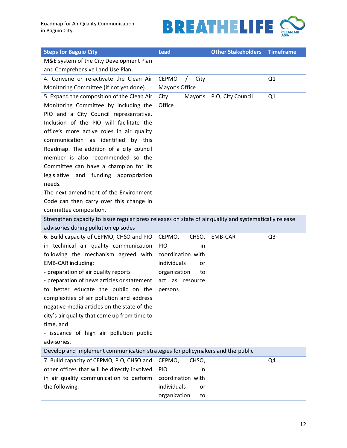

| <b>Steps for Baguio City</b>                                                                           | <b>Lead</b>                        | <b>Other Stakeholders</b> | <b>Timeframe</b> |
|--------------------------------------------------------------------------------------------------------|------------------------------------|---------------------------|------------------|
| M&E system of the City Development Plan                                                                |                                    |                           |                  |
| and Comprehensive Land Use Plan.                                                                       |                                    |                           |                  |
| 4. Convene or re-activate the Clean Air                                                                | <b>CEPMO</b><br>City<br>$\sqrt{2}$ |                           | Q1               |
| Monitoring Committee (if not yet done).                                                                | Mayor's Office                     |                           |                  |
| 5. Expand the composition of the Clean Air                                                             | City<br>Mayor's                    | PIO, City Council         | Q1               |
| Monitoring Committee by including the                                                                  | Office                             |                           |                  |
| PIO and a City Council representative.                                                                 |                                    |                           |                  |
| Inclusion of the PIO will facilitate the                                                               |                                    |                           |                  |
| office's more active roles in air quality                                                              |                                    |                           |                  |
| communication as identified by this                                                                    |                                    |                           |                  |
| Roadmap. The addition of a city council                                                                |                                    |                           |                  |
| member is also recommended so the                                                                      |                                    |                           |                  |
| Committee can have a champion for its                                                                  |                                    |                           |                  |
| and funding appropriation<br>legislative                                                               |                                    |                           |                  |
| needs.                                                                                                 |                                    |                           |                  |
| The next amendment of the Environment                                                                  |                                    |                           |                  |
| Code can then carry over this change in                                                                |                                    |                           |                  |
| committee composition.                                                                                 |                                    |                           |                  |
| Strengthen capacity to issue regular press releases on state of air quality and systematically release |                                    |                           |                  |
| advisories during pollution episodes                                                                   |                                    |                           |                  |
| 6. Build capacity of CEPMO, CHSO and PIO                                                               | CEPMO,<br>CHSO,                    | <b>EMB-CAR</b>            | Q <sub>3</sub>   |
| in technical air quality communication                                                                 | PIO<br>in                          |                           |                  |
| following the mechanism agreed with                                                                    | coordination with                  |                           |                  |
| EMB-CAR including:                                                                                     | individuals<br>or                  |                           |                  |
| - preparation of air quality reports                                                                   | organization<br>to                 |                           |                  |
| - preparation of news articles or statement                                                            | act as<br>resource                 |                           |                  |
| to better educate the public on the                                                                    | persons                            |                           |                  |
| complexities of air pollution and address                                                              |                                    |                           |                  |
| negative media articles on the state of the                                                            |                                    |                           |                  |
| city's air quality that come up from time to                                                           |                                    |                           |                  |
| time, and                                                                                              |                                    |                           |                  |
| - issuance of high air pollution public<br>advisories.                                                 |                                    |                           |                  |
| Develop and implement communication strategies for policymakers and the public                         |                                    |                           |                  |
| 7. Build capacity of CEPMO, PIO, CHSO and                                                              | CEPMO,<br>CHSO,                    |                           | Q4               |
| other offices that will be directly involved                                                           | PIO<br>in                          |                           |                  |
| in air quality communication to perform                                                                | coordination with                  |                           |                  |
| the following:                                                                                         | individuals<br>or                  |                           |                  |
|                                                                                                        | organization<br>to                 |                           |                  |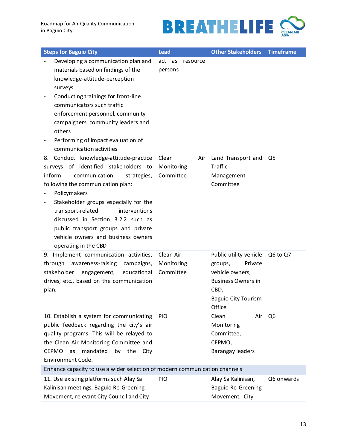

| <b>Steps for Baguio City</b>                                                                                                                                                                                                                                                                                                                                                                             | <b>Lead</b>                                 | <b>Other Stakeholders</b>                                                                                                                                    | <b>Timeframe</b>           |
|----------------------------------------------------------------------------------------------------------------------------------------------------------------------------------------------------------------------------------------------------------------------------------------------------------------------------------------------------------------------------------------------------------|---------------------------------------------|--------------------------------------------------------------------------------------------------------------------------------------------------------------|----------------------------|
| Developing a communication plan and<br>materials based on findings of the<br>knowledge-attitude-perception<br>surveys<br>Conducting trainings for front-line<br>$\qquad \qquad -$<br>communicators such traffic<br>enforcement personnel, community<br>campaigners, community leaders and<br>others<br>Performing of impact evaluation of<br>communication activities                                    | act<br>as<br>resource<br>persons            |                                                                                                                                                              |                            |
| 8. Conduct knowledge-attitude-practice<br>surveys of identified stakeholders to<br>inform<br>communication<br>strategies,<br>following the communication plan:<br>Policymakers<br>Stakeholder groups especially for the<br>transport-related<br>interventions<br>discussed in Section 3.2.2 such as<br>public transport groups and private<br>vehicle owners and business owners<br>operating in the CBD | Clean<br>Air<br>Monitoring<br>Committee     | Land Transport and<br><b>Traffic</b><br>Management<br>Committee                                                                                              | Q <sub>5</sub>             |
| 9. Implement communication activities,<br>through<br>awareness-raising campaigns,<br>stakeholder<br>educational<br>engagement,<br>drives, etc., based on the communication<br>plan.<br>10. Establish a system for communicating                                                                                                                                                                          | Clean Air<br>Monitoring<br>Committee<br>PIO | Public utility vehicle<br>Private<br>groups,<br>vehicle owners,<br><b>Business Owners in</b><br>CBD,<br><b>Baguio City Tourism</b><br>Office<br>Clean<br>Air | Q6 to Q7<br>Q <sub>6</sub> |
| public feedback regarding the city's air<br>quality programs. This will be relayed to<br>the Clean Air Monitoring Committee and<br><b>CEPMO</b><br>mandated<br>by<br>the<br>as<br>City<br>Environment Code.                                                                                                                                                                                              |                                             | Monitoring<br>Committee,<br>CEPMO,<br><b>Barangay leaders</b>                                                                                                |                            |
| Enhance capacity to use a wider selection of modern communication channels<br>11. Use existing platforms such Alay Sa<br>Kalinisan meetings, Baguio Re-Greening<br>Movement, relevant City Council and City                                                                                                                                                                                              | PIO                                         | Alay Sa Kalinisan,<br><b>Baguio Re-Greening</b><br>Movement, City                                                                                            | Q6 onwards                 |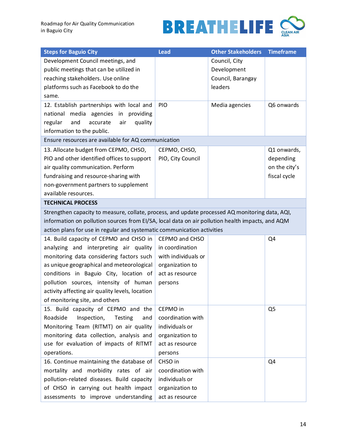

| <b>Steps for Baguio City</b>                                                                     | <b>Lead</b>         | <b>Other Stakeholders</b> | <b>Timeframe</b> |  |
|--------------------------------------------------------------------------------------------------|---------------------|---------------------------|------------------|--|
| Development Council meetings, and                                                                |                     | Council, City             |                  |  |
| public meetings that can be utilized in                                                          |                     | Development               |                  |  |
| reaching stakeholders. Use online                                                                |                     | Council, Barangay         |                  |  |
| platforms such as Facebook to do the                                                             |                     | leaders                   |                  |  |
| same.                                                                                            |                     |                           |                  |  |
| 12. Establish partnerships with local and                                                        | PIO                 | Media agencies            | Q6 onwards       |  |
| national media agencies in providing                                                             |                     |                           |                  |  |
| regular<br>and<br>accurate<br>air<br>quality                                                     |                     |                           |                  |  |
| information to the public.                                                                       |                     |                           |                  |  |
| Ensure resources are available for AQ communication                                              |                     |                           |                  |  |
| 13. Allocate budget from CEPMO, CHSO,                                                            | CEPMO, CHSO,        |                           | Q1 onwards,      |  |
| PIO and other identified offices to support                                                      | PIO, City Council   |                           | depending        |  |
| air quality communication. Perform                                                               |                     |                           | on the city's    |  |
| fundraising and resource-sharing with                                                            |                     |                           | fiscal cycle     |  |
| non-government partners to supplement                                                            |                     |                           |                  |  |
| available resources.                                                                             |                     |                           |                  |  |
| <b>TECHNICAL PROCESS</b>                                                                         |                     |                           |                  |  |
| Strengthen capacity to measure, collate, process, and update processed AQ monitoring data, AQI,  |                     |                           |                  |  |
| information on pollution sources from EI/SA, local data on air pollution health impacts, and AQM |                     |                           |                  |  |
| action plans for use in regular and systematic communication activities                          |                     |                           |                  |  |
| 14. Build capacity of CEPMO and CHSO in                                                          | CEPMO and CHSO      |                           | Q4               |  |
| analyzing and interpreting air quality                                                           | in coordination     |                           |                  |  |
| monitoring data considering factors such                                                         | with individuals or |                           |                  |  |
| as unique geographical and meteorological                                                        | organization to     |                           |                  |  |
| conditions in Baguio City, location of                                                           | act as resource     |                           |                  |  |
| pollution sources, intensity of human                                                            | persons             |                           |                  |  |
| activity affecting air quality levels, location                                                  |                     |                           |                  |  |
| of monitoring site, and others                                                                   |                     |                           |                  |  |
| 15. Build capacity of CEPMO and the                                                              | CEPMO in            |                           | Q <sub>5</sub>   |  |
| Roadside<br>Inspection,<br>Testing<br>and                                                        | coordination with   |                           |                  |  |
| Monitoring Team (RITMT) on air quality                                                           | individuals or      |                           |                  |  |
| monitoring data collection, analysis and                                                         | organization to     |                           |                  |  |
| use for evaluation of impacts of RITMT                                                           | act as resource     |                           |                  |  |
| operations.                                                                                      | persons             |                           |                  |  |
| 16. Continue maintaining the database of                                                         | CHSO in             |                           | Q <sub>4</sub>   |  |
| mortality and morbidity rates of air                                                             | coordination with   |                           |                  |  |
| pollution-related diseases. Build capacity                                                       | individuals or      |                           |                  |  |
| of CHSO in carrying out health impact                                                            | organization to     |                           |                  |  |
| assessments to improve understanding                                                             | act as resource     |                           |                  |  |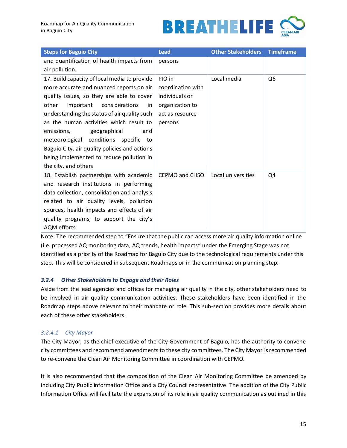

| <b>Steps for Baguio City</b>                  | <b>Lead</b>       | <b>Other Stakeholders</b> | <b>Timeframe</b> |
|-----------------------------------------------|-------------------|---------------------------|------------------|
| and quantification of health impacts from     | persons           |                           |                  |
| air pollution.                                |                   |                           |                  |
| 17. Build capacity of local media to provide  | PIO in            | Local media               | Q <sub>6</sub>   |
| more accurate and nuanced reports on air      | coordination with |                           |                  |
| quality issues, so they are able to cover     | individuals or    |                           |                  |
| other<br>important<br>considerations<br>in    | organization to   |                           |                  |
| understanding the status of air quality such  | act as resource   |                           |                  |
| as the human activities which result to       | persons           |                           |                  |
| emissions,<br>geographical<br>and             |                   |                           |                  |
| meteorological conditions specific<br>to      |                   |                           |                  |
| Baguio City, air quality policies and actions |                   |                           |                  |
| being implemented to reduce pollution in      |                   |                           |                  |
| the city, and others                          |                   |                           |                  |
| 18. Establish partnerships with academic      | CEPMO and CHSO    | Local universities        | Q4               |
| and research institutions in performing       |                   |                           |                  |
| data collection, consolidation and analysis   |                   |                           |                  |
| related to air quality levels, pollution      |                   |                           |                  |
| sources, health impacts and effects of air    |                   |                           |                  |
| quality programs, to support the city's       |                   |                           |                  |
| AQM efforts.                                  |                   |                           |                  |

Note: The recommended step to "Ensure that the public can access more air quality information online (i.e. processed AQ monitoring data, AQ trends, health impacts" under the Emerging Stage was not identified as a priority of the Roadmap for Baguio City due to the technological requirements under this step. This will be considered in subsequent Roadmaps or in the communication planning step.

# <span id="page-17-0"></span>*3.2.4 Other Stakeholders to Engage and their Roles*

Aside from the lead agencies and offices for managing air quality in the city, other stakeholders need to be involved in air quality communication activities. These stakeholders have been identified in the Roadmap steps above relevant to their mandate or role. This sub-section provides more details about each of these other stakeholders.

#### *3.2.4.1 City Mayor*

The City Mayor, as the chief executive of the City Government of Baguio, has the authority to convene city committees and recommend amendments to these city committees. The City Mayor is recommended to re-convene the Clean Air Monitoring Committee in coordination with CEPMO.

It is also recommended that the composition of the Clean Air Monitoring Committee be amended by including City Public information Office and a City Council representative. The addition of the City Public Information Office will facilitate the expansion of its role in air quality communication as outlined in this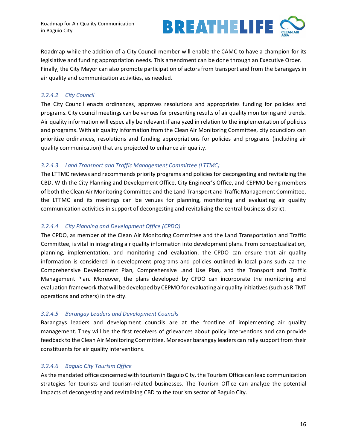

Roadmap while the addition of a City Council member will enable the CAMC to have a champion for its legislative and funding appropriation needs. This amendment can be done through an Executive Order. Finally, the City Mayor can also promote participation of actors from transport and from the barangays in air quality and communication activities, as needed.

# *3.2.4.2 City Council*

The City Council enacts ordinances, approves resolutions and appropriates funding for policies and programs. City council meetings can be venues for presenting results of air quality monitoring and trends. Air quality information will especially be relevant if analyzed in relation to the implementation of policies and programs. With air quality information from the Clean Air Monitoring Committee, city councilors can prioritize ordinances, resolutions and funding appropriations for policies and programs (including air quality communication) that are projected to enhance air quality.

# *3.2.4.3 Land Transport and Traffic Management Committee (LTTMC)*

The LTTMC reviews and recommends priority programs and policies for decongesting and revitalizing the CBD. With the City Planning and Development Office, City Engineer's Office, and CEPMO being members of both the Clean Air Monitoring Committee and the Land Transport and Traffic Management Committee, the LTTMC and its meetings can be venues for planning, monitoring and evaluating air quality communication activities in support of decongesting and revitalizing the central business district.

# *3.2.4.4 City Planning and Development Office (CPDO)*

The CPDO, as member of the Clean Air Monitoring Committee and the Land Transportation and Traffic Committee, is vital in integrating air quality information into development plans. From conceptualization, planning, implementation, and monitoring and evaluation, the CPDO can ensure that air quality information is considered in development programs and policies outlined in local plans such aa the Comprehensive Development Plan, Comprehensive Land Use Plan, and the Transport and Traffic Management Plan. Moreover, the plans developed by CPDO can incorporate the monitoring and evaluation framework that will be developed by CEPMO for evaluating air quality initiatives (such as RITMT operations and others) in the city.

# *3.2.4.5 Barangay Leaders and Development Councils*

Barangays leaders and development councils are at the frontline of implementing air quality management. They will be the first receivers of grievances about policy interventions and can provide feedback to the Clean Air Monitoring Committee. Moreover barangay leaders can rally support from their constituents for air quality interventions.

# *3.2.4.6 Baguio City Tourism Office*

As the mandated office concerned with tourism in Baguio City, the Tourism Office can lead communication strategies for tourists and tourism-related businesses. The Tourism Office can analyze the potential impacts of decongesting and revitalizing CBD to the tourism sector of Baguio City.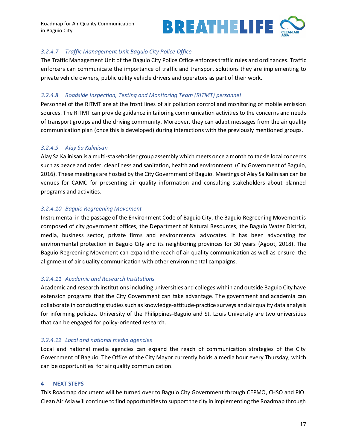

# *3.2.4.7 Traffic Management Unit Baguio City Police Office*

The Traffic Management Unit of the Baguio City Police Office enforces traffic rules and ordinances. Traffic enforcers can communicate the importance of traffic and transport solutions they are implementing to private vehicle owners, public utility vehicle drivers and operators as part of their work.

# *3.2.4.8 Roadside Inspection, Testing and Monitoring Team (RITMT) personnel*

Personnel of the RITMT are at the front lines of air pollution control and monitoring of mobile emission sources. The RITMT can provide guidance in tailoring communication activities to the concerns and needs of transport groups and the driving community. Moreover, they can adapt messages from the air quality communication plan (once this is developed) during interactions with the previously mentioned groups.

# *3.2.4.9 Alay Sa Kalinisan*

Alay Sa Kalinisan is a multi-stakeholder group assembly which meets once a month to tackle local concerns such as peace and order, cleanliness and sanitation, health and environment (City Government of Baguio, 2016). These meetings are hosted by the City Government of Baguio. Meetings of Alay Sa Kalinisan can be venues for CAMC for presenting air quality information and consulting stakeholders about planned programs and activities.

# *3.2.4.10 Baguio Regreening Movement*

Instrumental in the passage of the Environment Code of Baguio City, the Baguio Regreening Movement is composed of city government offices, the Department of Natural Resources, the Baguio Water District, media, business sector, private firms and environmental advocates. It has been advocating for environmental protection in Baguio City and its neighboring provinces for 30 years (Agoot, 2018). The Baguio Regreening Movement can expand the reach of air quality communication as well as ensure the alignment of air quality communication with other environmental campaigns.

# *3.2.4.11 Academic and Research Institutions*

Academic and research institutions including universities and colleges within and outside Baguio City have extension programs that the City Government can take advantage. The government and academia can collaborate in conducting studies such as knowledge-attitude-practice surveys and air quality data analysis for informing policies. University of the Philippines-Baguio and St. Louis University are two universities that can be engaged for policy-oriented research.

# *3.2.4.12 Local and national media agencies*

Local and national media agencies can expand the reach of communication strategies of the City Government of Baguio. The Office of the City Mayor currently holds a media hour every Thursday, which can be opportunities for air quality communication.

#### <span id="page-19-0"></span>**4 NEXT STEPS**

This Roadmap document will be turned over to Baguio City Government through CEPMO, CHSO and PIO. Clean Air Asia will continue to find opportunities to support the city in implementing the Roadmap through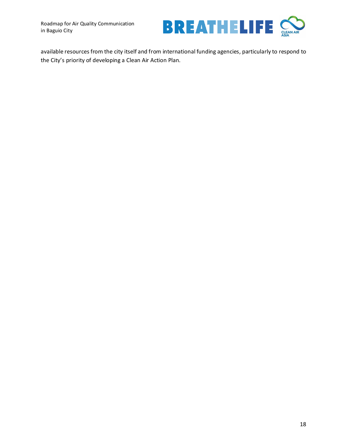

available resources from the city itself and from international funding agencies, particularly to respond to the City's priority of developing a Clean Air Action Plan.